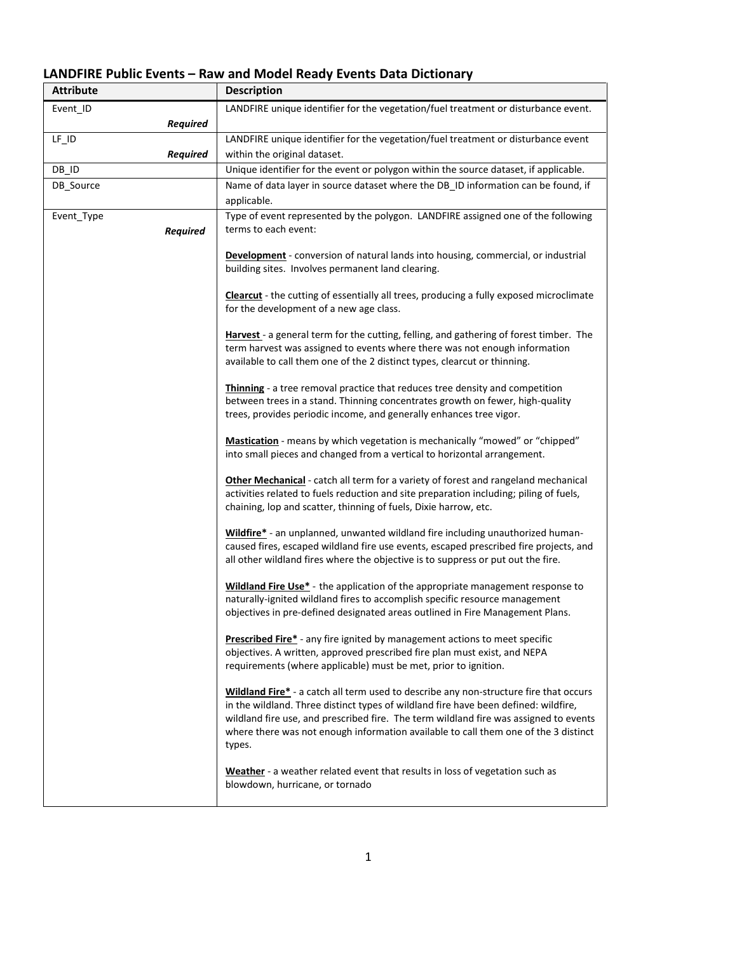## **LANDFIRE Public Events – Raw and Model Ready Events Data Dictionary**

| <b>Attribute</b> | <b>Description</b>                                                                                              |
|------------------|-----------------------------------------------------------------------------------------------------------------|
| Event ID         | LANDFIRE unique identifier for the vegetation/fuel treatment or disturbance event.                              |
| <b>Required</b>  |                                                                                                                 |
| $LF$ $ID$        | LANDFIRE unique identifier for the vegetation/fuel treatment or disturbance event                               |
| <b>Required</b>  | within the original dataset.                                                                                    |
| DB_ID            | Unique identifier for the event or polygon within the source dataset, if applicable.                            |
| DB_Source        | Name of data layer in source dataset where the DB_ID information can be found, if                               |
|                  | applicable.                                                                                                     |
| Event_Type       | Type of event represented by the polygon. LANDFIRE assigned one of the following                                |
| <b>Required</b>  | terms to each event:                                                                                            |
|                  |                                                                                                                 |
|                  | <b>Development</b> - conversion of natural lands into housing, commercial, or industrial                        |
|                  | building sites. Involves permanent land clearing.                                                               |
|                  | <b>Clearcut</b> - the cutting of essentially all trees, producing a fully exposed microclimate                  |
|                  | for the development of a new age class.                                                                         |
|                  |                                                                                                                 |
|                  | Harvest - a general term for the cutting, felling, and gathering of forest timber. The                          |
|                  | term harvest was assigned to events where there was not enough information                                      |
|                  | available to call them one of the 2 distinct types, clearcut or thinning.                                       |
|                  | Thinning - a tree removal practice that reduces tree density and competition                                    |
|                  | between trees in a stand. Thinning concentrates growth on fewer, high-quality                                   |
|                  | trees, provides periodic income, and generally enhances tree vigor.                                             |
|                  |                                                                                                                 |
|                  | Mastication - means by which vegetation is mechanically "mowed" or "chipped"                                    |
|                  | into small pieces and changed from a vertical to horizontal arrangement.                                        |
|                  | Other Mechanical - catch all term for a variety of forest and rangeland mechanical                              |
|                  | activities related to fuels reduction and site preparation including; piling of fuels,                          |
|                  | chaining, lop and scatter, thinning of fuels, Dixie harrow, etc.                                                |
|                  |                                                                                                                 |
|                  | Wildfire* - an unplanned, unwanted wildland fire including unauthorized human-                                  |
|                  | caused fires, escaped wildland fire use events, escaped prescribed fire projects, and                           |
|                  | all other wildland fires where the objective is to suppress or put out the fire.                                |
|                  | Wildland Fire Use* - the application of the appropriate management response to                                  |
|                  | naturally-ignited wildland fires to accomplish specific resource management                                     |
|                  | objectives in pre-defined designated areas outlined in Fire Management Plans.                                   |
|                  |                                                                                                                 |
|                  | Prescribed Fire* - any fire ignited by management actions to meet specific                                      |
|                  | objectives. A written, approved prescribed fire plan must exist, and NEPA                                       |
|                  | requirements (where applicable) must be met, prior to ignition.                                                 |
|                  | Wildland Fire* - a catch all term used to describe any non-structure fire that occurs                           |
|                  | in the wildland. Three distinct types of wildland fire have been defined: wildfire,                             |
|                  | wildland fire use, and prescribed fire. The term wildland fire was assigned to events                           |
|                  | where there was not enough information available to call them one of the 3 distinct                             |
|                  | types.                                                                                                          |
|                  |                                                                                                                 |
|                  | Weather - a weather related event that results in loss of vegetation such as<br>blowdown, hurricane, or tornado |
|                  |                                                                                                                 |
|                  |                                                                                                                 |